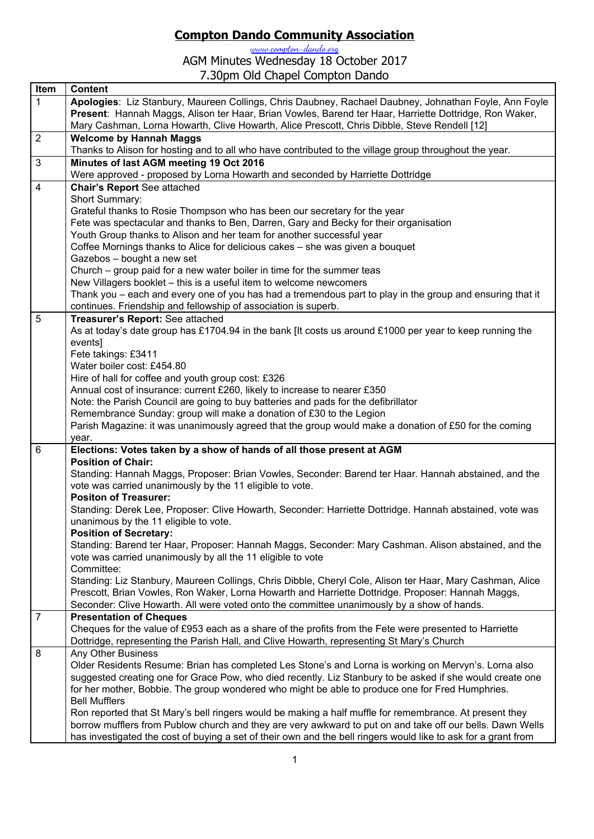## **Compton Dando Community Association**

[www.compton-dando.org](http://www.compton-dando.org/)

AGM Minutes Wednesday 18 October 2017 7.30pm Old Chapel Compton Dando

| Item           | <b>Content</b>                                                                                                                                                                                                 |
|----------------|----------------------------------------------------------------------------------------------------------------------------------------------------------------------------------------------------------------|
| 1              | Apologies: Liz Stanbury, Maureen Collings, Chris Daubney, Rachael Daubney, Johnathan Foyle, Ann Foyle                                                                                                          |
|                | Present: Hannah Maggs, Alison ter Haar, Brian Vowles, Barend ter Haar, Harriette Dottridge, Ron Waker,                                                                                                         |
|                | Mary Cashman, Lorna Howarth, Clive Howarth, Alice Prescott, Chris Dibble, Steve Rendell [12]                                                                                                                   |
| $\overline{2}$ | <b>Welcome by Hannah Maggs</b>                                                                                                                                                                                 |
|                | Thanks to Alison for hosting and to all who have contributed to the village group throughout the year.                                                                                                         |
| $\mathfrak{B}$ | Minutes of last AGM meeting 19 Oct 2016                                                                                                                                                                        |
|                | Were approved - proposed by Lorna Howarth and seconded by Harriette Dottridge                                                                                                                                  |
| 4              | <b>Chair's Report See attached</b>                                                                                                                                                                             |
|                | Short Summary:                                                                                                                                                                                                 |
|                | Grateful thanks to Rosie Thompson who has been our secretary for the year                                                                                                                                      |
|                | Fete was spectacular and thanks to Ben, Darren, Gary and Becky for their organisation                                                                                                                          |
|                | Youth Group thanks to Alison and her team for another successful year                                                                                                                                          |
|                | Coffee Mornings thanks to Alice for delicious cakes - she was given a bouquet                                                                                                                                  |
|                | Gazebos - bought a new set                                                                                                                                                                                     |
|                | Church - group paid for a new water boiler in time for the summer teas                                                                                                                                         |
|                | New Villagers booklet - this is a useful item to welcome newcomers                                                                                                                                             |
|                | Thank you – each and every one of you has had a tremendous part to play in the group and ensuring that it                                                                                                      |
| 5              | continues. Friendship and fellowship of association is superb.                                                                                                                                                 |
|                | Treasurer's Report: See attached                                                                                                                                                                               |
|                | As at today's date group has £1704.94 in the bank [It costs us around £1000 per year to keep running the<br>events]                                                                                            |
|                | Fete takings: £3411                                                                                                                                                                                            |
|                | Water boiler cost: £454.80                                                                                                                                                                                     |
|                | Hire of hall for coffee and youth group cost: £326                                                                                                                                                             |
|                | Annual cost of insurance: current £260, likely to increase to nearer £350                                                                                                                                      |
|                | Note: the Parish Council are going to buy batteries and pads for the defibrillator                                                                                                                             |
|                | Remembrance Sunday: group will make a donation of £30 to the Legion                                                                                                                                            |
|                | Parish Magazine: it was unanimously agreed that the group would make a donation of £50 for the coming                                                                                                          |
|                | year.                                                                                                                                                                                                          |
| 6              | Elections: Votes taken by a show of hands of all those present at AGM                                                                                                                                          |
|                | <b>Position of Chair:</b>                                                                                                                                                                                      |
|                | Standing: Hannah Maggs, Proposer: Brian Vowles, Seconder: Barend ter Haar. Hannah abstained, and the                                                                                                           |
|                | vote was carried unanimously by the 11 eligible to vote.                                                                                                                                                       |
|                | <b>Positon of Treasurer:</b>                                                                                                                                                                                   |
|                | Standing: Derek Lee, Proposer: Clive Howarth, Seconder: Harriette Dottridge. Hannah abstained, vote was                                                                                                        |
|                | unanimous by the 11 eligible to vote.                                                                                                                                                                          |
|                | <b>Position of Secretary:</b>                                                                                                                                                                                  |
|                | Standing: Barend ter Haar, Proposer: Hannah Maggs, Seconder: Mary Cashman. Alison abstained, and the                                                                                                           |
|                | vote was carried unanimously by all the 11 eligible to vote                                                                                                                                                    |
|                | Committee:                                                                                                                                                                                                     |
|                | Standing: Liz Stanbury, Maureen Collings, Chris Dibble, Cheryl Cole, Alison ter Haar, Mary Cashman, Alice<br>Prescott, Brian Vowles, Ron Waker, Lorna Howarth and Harriette Dottridge. Proposer: Hannah Maggs, |
|                | Seconder: Clive Howarth. All were voted onto the committee unanimously by a show of hands.                                                                                                                     |
| $\overline{7}$ | <b>Presentation of Cheques</b>                                                                                                                                                                                 |
|                | Cheques for the value of £953 each as a share of the profits from the Fete were presented to Harriette                                                                                                         |
|                | Dottridge, representing the Parish Hall, and Clive Howarth, representing St Mary's Church                                                                                                                      |
| 8              | Any Other Business                                                                                                                                                                                             |
|                | Older Residents Resume: Brian has completed Les Stone's and Lorna is working on Mervyn's. Lorna also                                                                                                           |
|                | suggested creating one for Grace Pow, who died recently. Liz Stanbury to be asked if she would create one                                                                                                      |
|                | for her mother, Bobbie. The group wondered who might be able to produce one for Fred Humphries.                                                                                                                |
|                | <b>Bell Mufflers</b>                                                                                                                                                                                           |
|                | Ron reported that St Mary's bell ringers would be making a half muffle for remembrance. At present they                                                                                                        |
|                | borrow mufflers from Publow church and they are very awkward to put on and take off our bells. Dawn Wells                                                                                                      |
|                | has investigated the cost of buying a set of their own and the bell ringers would like to ask for a grant from                                                                                                 |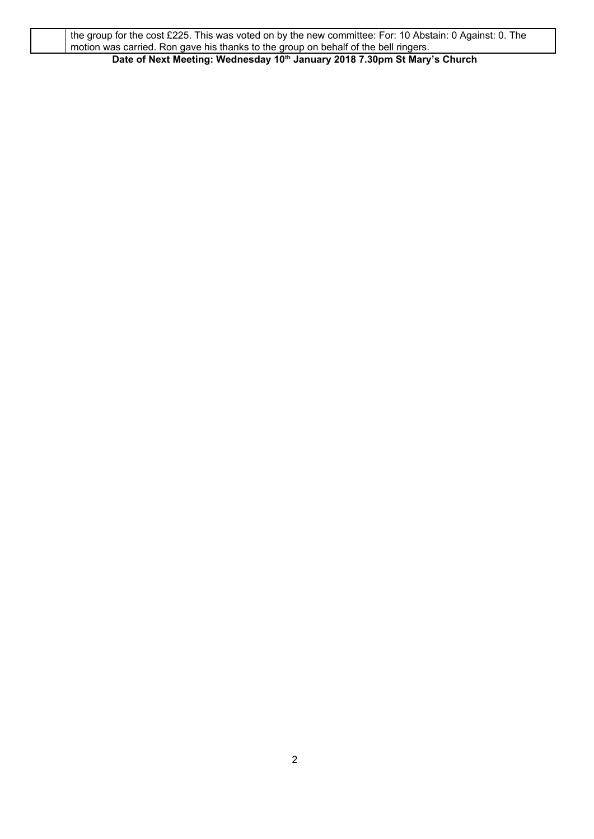the group for the cost £225. This was voted on by the new committee: For: 10 Abstain: 0 Against: 0. The motion was carried. Ron gave his thanks to the group on behalf of the bell ringers. **Date of Next Meeting: Wednesday 10 th January 2018 7.30pm St Mary's Church**